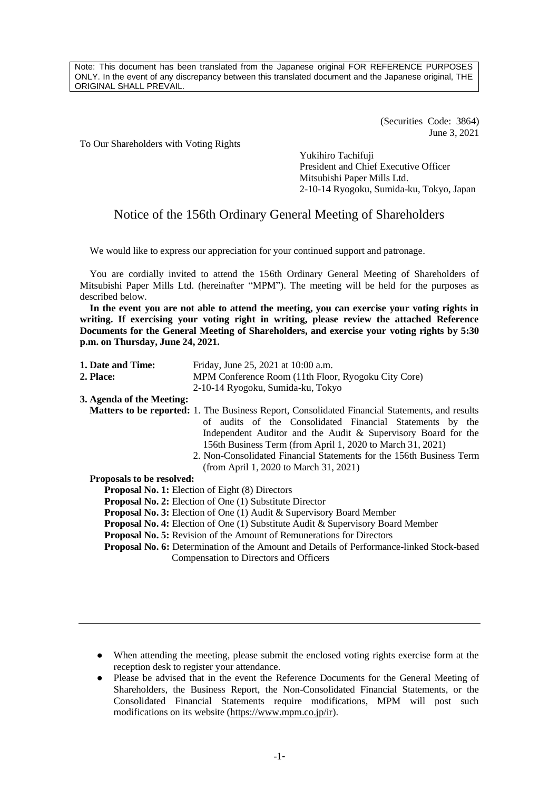Note: This document has been translated from the Japanese original FOR REFERENCE PURPOSES ONLY. In the event of any discrepancy between this translated document and the Japanese original, THE ORIGINAL SHALL PREVAIL.

> (Securities Code: 3864) June 3, 2021

To Our Shareholders with Voting Rights

Yukihiro Tachifuji President and Chief Executive Officer Mitsubishi Paper Mills Ltd. 2-10-14 Ryogoku, Sumida-ku, Tokyo, Japan

# Notice of the 156th Ordinary General Meeting of Shareholders

We would like to express our appreciation for your continued support and patronage.

You are cordially invited to attend the 156th Ordinary General Meeting of Shareholders of Mitsubishi Paper Mills Ltd. (hereinafter "MPM"). The meeting will be held for the purposes as described below.

**In the event you are not able to attend the meeting, you can exercise your voting rights in writing. If exercising your voting right in writing, please review the attached Reference Documents for the General Meeting of Shareholders, and exercise your voting rights by 5:30 p.m. on Thursday, June 24, 2021.**

| 1. Date and Time:                | Friday, June 25, 2021 at 10:00 a.m.                                                                                                                                |
|----------------------------------|--------------------------------------------------------------------------------------------------------------------------------------------------------------------|
| <b>2. Place:</b>                 | MPM Conference Room (11th Floor, Ryogoku City Core)                                                                                                                |
|                                  | 2-10-14 Ryogoku, Sumida-ku, Tokyo                                                                                                                                  |
| 3. Agenda of the Meeting:        |                                                                                                                                                                    |
|                                  | <b>Matters to be reported:</b> 1. The Business Report, Consolidated Financial Statements, and results<br>of audits of the Consolidated Financial Statements by the |
|                                  | Independent Auditor and the Audit & Supervisory Board for the                                                                                                      |
|                                  | 156th Business Term (from April 1, 2020 to March 31, 2021)                                                                                                         |
|                                  | 2. Non-Consolidated Financial Statements for the 156th Business Term                                                                                               |
|                                  | (from April 1, 2020 to March 31, 2021)                                                                                                                             |
| <b>Proposals to be resolved:</b> |                                                                                                                                                                    |
|                                  | <b>Proposal No. 1:</b> Election of Eight (8) Directors                                                                                                             |
|                                  | <b>Proposal No. 2:</b> Election of One (1) Substitute Director                                                                                                     |
|                                  | <b>Proposal No. 3:</b> Election of One (1) Audit & Supervisory Board Member                                                                                        |
|                                  | <b>Proposal No. 4:</b> Election of One (1) Substitute Audit & Supervisory Board Member                                                                             |
|                                  | <b>Proposal No. 5:</b> Revision of the Amount of Remunerations for Directors                                                                                       |
|                                  | Proposal No. 6: Determination of the Amount and Details of Performance-linked Stock-based                                                                          |
|                                  | Compensation to Directors and Officers                                                                                                                             |

● When attending the meeting, please submit the enclosed voting rights exercise form at the reception desk to register your attendance.

● Please be advised that in the event the Reference Documents for the General Meeting of Shareholders, the Business Report, the Non-Consolidated Financial Statements, or the Consolidated Financial Statements require modifications, MPM will post such modifications on its website [\(https://www.mpm.co.jp/ir\)](https://www.mpm.co.jp/ir).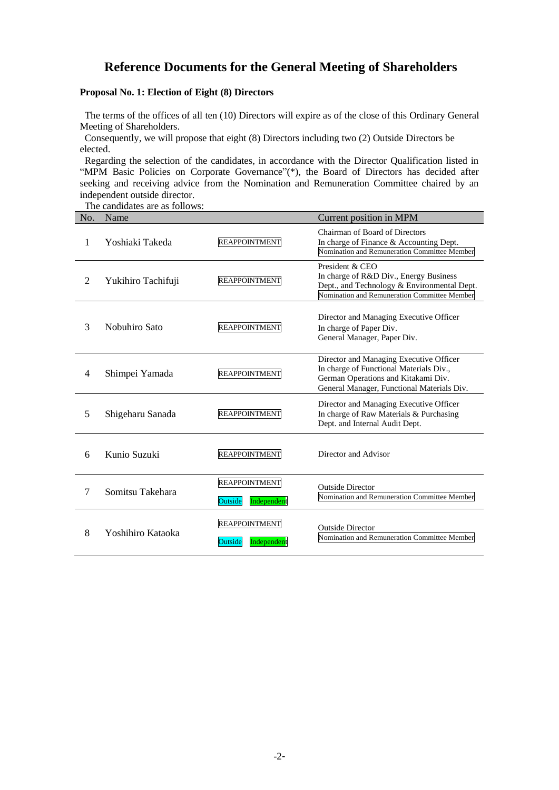# **Reference Documents for the General Meeting of Shareholders**

# **Proposal No. 1: Election of Eight (8) Directors**

The terms of the offices of all ten (10) Directors will expire as of the close of this Ordinary General Meeting of Shareholders.

Consequently, we will propose that eight (8) Directors including two (2) Outside Directors be elected.

Regarding the selection of the candidates, in accordance with the Director Qualification listed in "MPM Basic Policies on Corporate Governance"(\*), the Board of Directors has decided after seeking and receiving advice from the Nomination and Remuneration Committee chaired by an independent outside director.

The candidates are as follows:

| No. | Name               |                                                | Current position in MPM                                                                                                                                                 |
|-----|--------------------|------------------------------------------------|-------------------------------------------------------------------------------------------------------------------------------------------------------------------------|
| 1   | Yoshiaki Takeda    | <b>REAPPOINTMENT</b>                           | Chairman of Board of Directors<br>In charge of Finance & Accounting Dept.<br>Nomination and Remuneration Committee Member                                               |
| 2   | Yukihiro Tachifuji | <b>REAPPOINTMENT</b>                           | President & CEO<br>In charge of R&D Div., Energy Business<br>Dept., and Technology & Environmental Dept.<br>Nomination and Remuneration Committee Member                |
| 3   | Nobuhiro Sato      | <b>REAPPOINTMENT</b>                           | Director and Managing Executive Officer<br>In charge of Paper Div.<br>General Manager, Paper Div.                                                                       |
| 4   | Shimpei Yamada     | <b>REAPPOINTMENT</b>                           | Director and Managing Executive Officer<br>In charge of Functional Materials Div.,<br>German Operations and Kitakami Div.<br>General Manager, Functional Materials Div. |
| 5   | Shigeharu Sanada   | <b>REAPPOINTMENT</b>                           | Director and Managing Executive Officer<br>In charge of Raw Materials & Purchasing<br>Dept. and Internal Audit Dept.                                                    |
| 6   | Kunio Suzuki       | <b>REAPPOINTMENT</b>                           | Director and Advisor                                                                                                                                                    |
| 7   | Somitsu Takehara   | <b>REAPPOINTMENT</b><br>Independent<br>Outside | <b>Outside Director</b><br>Nomination and Remuneration Committee Member                                                                                                 |
| 8   | Yoshihiro Kataoka  | <b>REAPPOINTMENT</b><br>Independent<br>Outside | <b>Outside Director</b><br>Nomination and Remuneration Committee Member                                                                                                 |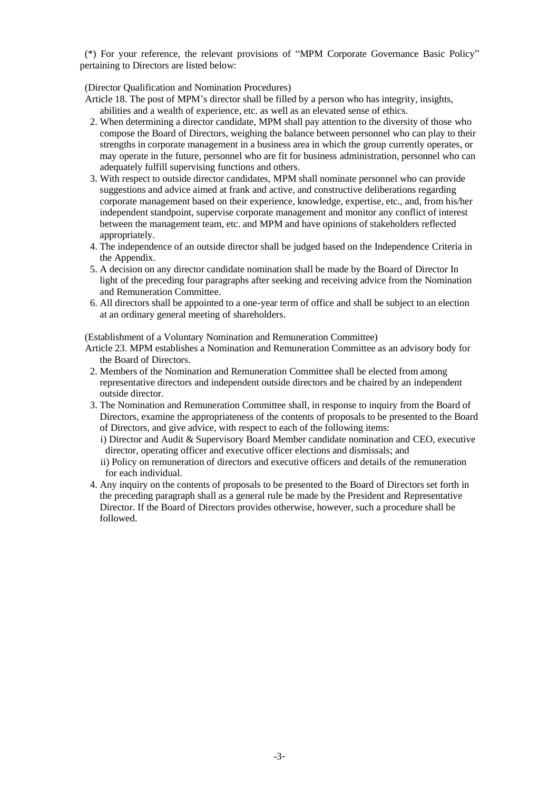(\*) For your reference, the relevant provisions of "MPM Corporate Governance Basic Policy" pertaining to Directors are listed below:

(Director Qualification and Nomination Procedures)

Article 18. The post of MPM's director shall be filled by a person who has integrity, insights, abilities and a wealth of experience, etc. as well as an elevated sense of ethics.

- 2. When determining a director candidate, MPM shall pay attention to the diversity of those who compose the Board of Directors, weighing the balance between personnel who can play to their strengths in corporate management in a business area in which the group currently operates, or may operate in the future, personnel who are fit for business administration, personnel who can adequately fulfill supervising functions and others.
- 3. With respect to outside director candidates, MPM shall nominate personnel who can provide suggestions and advice aimed at frank and active, and constructive deliberations regarding corporate management based on their experience, knowledge, expertise, etc., and, from his/her independent standpoint, supervise corporate management and monitor any conflict of interest between the management team, etc. and MPM and have opinions of stakeholders reflected appropriately.
- 4. The independence of an outside director shall be judged based on the Independence Criteria in the Appendix.
- 5. A decision on any director candidate nomination shall be made by the Board of Director In light of the preceding four paragraphs after seeking and receiving advice from the Nomination and Remuneration Committee.
- 6. All directors shall be appointed to a one-year term of office and shall be subject to an election at an ordinary general meeting of shareholders.

(Establishment of a Voluntary Nomination and Remuneration Committee)

- Article 23. MPM establishes a Nomination and Remuneration Committee as an advisory body for the Board of Directors.
- 2. Members of the Nomination and Remuneration Committee shall be elected from among representative directors and independent outside directors and be chaired by an independent outside director.
- 3. The Nomination and Remuneration Committee shall, in response to inquiry from the Board of Directors, examine the appropriateness of the contents of proposals to be presented to the Board of Directors, and give advice, with respect to each of the following items:
	- i) Director and Audit & Supervisory Board Member candidate nomination and CEO, executive director, operating officer and executive officer elections and dismissals; and
	- ii) Policy on remuneration of directors and executive officers and details of the remuneration for each individual.
- 4. Any inquiry on the contents of proposals to be presented to the Board of Directors set forth in the preceding paragraph shall as a general rule be made by the President and Representative Director. If the Board of Directors provides otherwise, however, such a procedure shall be followed.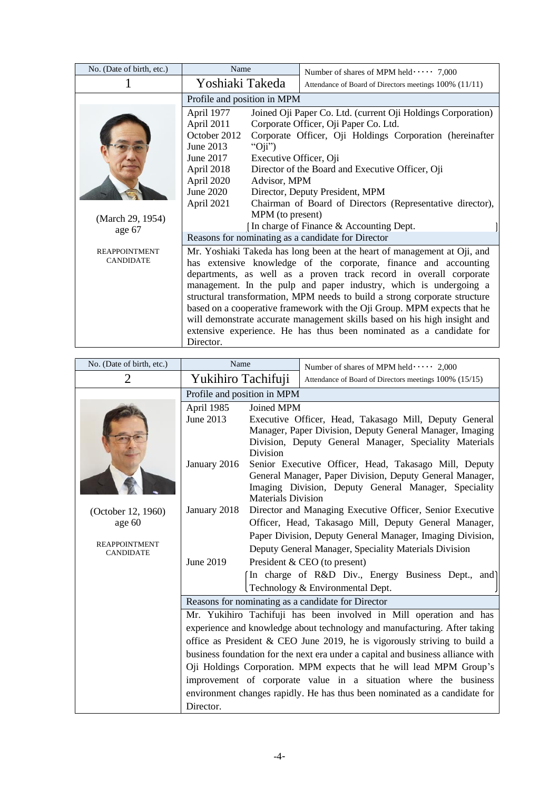| No. (Date of birth, etc.)                | Name                                                                                                                                                                                         | Number of shares of MPM held $\cdots$ 7,000                                                                                                                                                                                                                                                                                                                                                                                                                                                                                                                                                           |  |  |
|------------------------------------------|----------------------------------------------------------------------------------------------------------------------------------------------------------------------------------------------|-------------------------------------------------------------------------------------------------------------------------------------------------------------------------------------------------------------------------------------------------------------------------------------------------------------------------------------------------------------------------------------------------------------------------------------------------------------------------------------------------------------------------------------------------------------------------------------------------------|--|--|
|                                          | Yoshiaki Takeda                                                                                                                                                                              | Attendance of Board of Directors meetings 100% (11/11)                                                                                                                                                                                                                                                                                                                                                                                                                                                                                                                                                |  |  |
|                                          | Profile and position in MPM                                                                                                                                                                  |                                                                                                                                                                                                                                                                                                                                                                                                                                                                                                                                                                                                       |  |  |
|                                          | April 1977<br>April 2011<br>October 2012<br>June 2013<br>" $Oji$ ")<br>June 2017<br>Executive Officer, Oji<br>April 2018<br>April 2020<br>Advisor, MPM<br>June 2020                          | Joined Oji Paper Co. Ltd. (current Oji Holdings Corporation)<br>Corporate Officer, Oji Paper Co. Ltd.<br>Corporate Officer, Oji Holdings Corporation (hereinafter<br>Director of the Board and Executive Officer, Oji<br>Director, Deputy President, MPM                                                                                                                                                                                                                                                                                                                                              |  |  |
| (March 29, 1954)<br>age 67               | April 2021<br>Chairman of Board of Directors (Representative director),<br>MPM (to present)<br>In charge of Finance & Accounting Dept.<br>Reasons for nominating as a candidate for Director |                                                                                                                                                                                                                                                                                                                                                                                                                                                                                                                                                                                                       |  |  |
| <b>REAPPOINTMENT</b><br><b>CANDIDATE</b> | Director.                                                                                                                                                                                    | Mr. Yoshiaki Takeda has long been at the heart of management at Oji, and<br>has extensive knowledge of the corporate, finance and accounting<br>departments, as well as a proven track record in overall corporate<br>management. In the pulp and paper industry, which is undergoing a<br>structural transformation, MPM needs to build a strong corporate structure<br>based on a cooperative framework with the Oji Group. MPM expects that he<br>will demonstrate accurate management skills based on his high insight and<br>extensive experience. He has thus been nominated as a candidate for |  |  |

| No. (Date of birth, etc.)                | Name                                                                            |                               | Number of shares of MPM held $\cdots$ 2,000                                                                                                                                  |
|------------------------------------------|---------------------------------------------------------------------------------|-------------------------------|------------------------------------------------------------------------------------------------------------------------------------------------------------------------------|
| $\overline{2}$                           | Yukihiro Tachifuji                                                              |                               | Attendance of Board of Directors meetings 100% (15/15)                                                                                                                       |
|                                          | Profile and position in MPM                                                     |                               |                                                                                                                                                                              |
|                                          | April 1985<br>June 2013                                                         | Joined MPM<br><b>Division</b> | Executive Officer, Head, Takasago Mill, Deputy General<br>Manager, Paper Division, Deputy General Manager, Imaging<br>Division, Deputy General Manager, Speciality Materials |
|                                          | January 2016                                                                    | <b>Materials Division</b>     | Senior Executive Officer, Head, Takasago Mill, Deputy<br>General Manager, Paper Division, Deputy General Manager,<br>Imaging Division, Deputy General Manager, Speciality    |
| (October 12, 1960)                       | January 2018                                                                    |                               | Director and Managing Executive Officer, Senior Executive                                                                                                                    |
| age 60                                   |                                                                                 |                               | Officer, Head, Takasago Mill, Deputy General Manager,                                                                                                                        |
| <b>REAPPOINTMENT</b><br><b>CANDIDATE</b> |                                                                                 |                               | Paper Division, Deputy General Manager, Imaging Division,<br>Deputy General Manager, Speciality Materials Division                                                           |
|                                          | June 2019                                                                       |                               | President & CEO (to present)                                                                                                                                                 |
|                                          |                                                                                 |                               | In charge of R&D Div., Energy Business Dept., and                                                                                                                            |
|                                          |                                                                                 |                               | Technology & Environmental Dept.                                                                                                                                             |
|                                          |                                                                                 |                               | Reasons for nominating as a candidate for Director                                                                                                                           |
|                                          |                                                                                 |                               | Mr. Yukihiro Tachifuji has been involved in Mill operation and has                                                                                                           |
|                                          |                                                                                 |                               | experience and knowledge about technology and manufacturing. After taking                                                                                                    |
|                                          | office as President & CEO June 2019, he is vigorously striving to build a       |                               |                                                                                                                                                                              |
|                                          | business foundation for the next era under a capital and business alliance with |                               |                                                                                                                                                                              |
|                                          |                                                                                 |                               | Oji Holdings Corporation. MPM expects that he will lead MPM Group's                                                                                                          |
|                                          |                                                                                 |                               | improvement of corporate value in a situation where the business                                                                                                             |
|                                          |                                                                                 |                               | environment changes rapidly. He has thus been nominated as a candidate for                                                                                                   |
|                                          | Director.                                                                       |                               |                                                                                                                                                                              |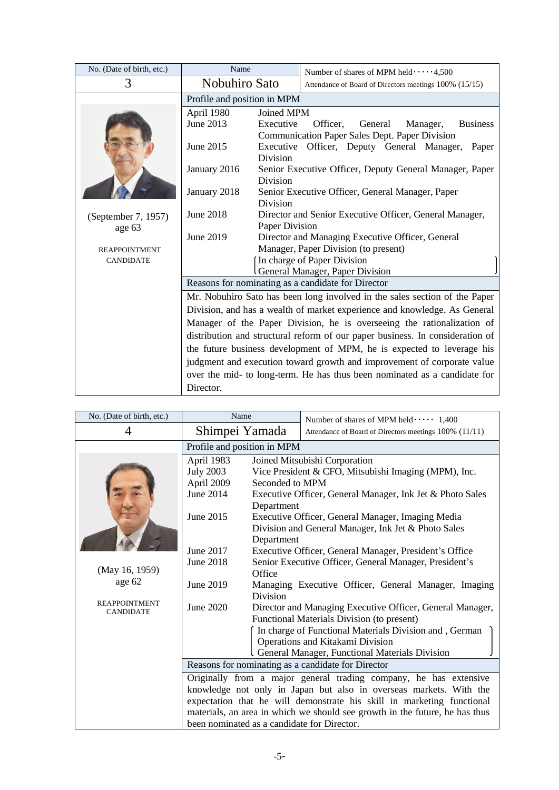| No. (Date of birth, etc.) | Name                                                                          |                       | Number of shares of MPM held $\cdots$ 4,500                                           |
|---------------------------|-------------------------------------------------------------------------------|-----------------------|---------------------------------------------------------------------------------------|
| 3                         | Nobuhiro Sato                                                                 |                       | Attendance of Board of Directors meetings 100% (15/15)                                |
|                           | Profile and position in MPM                                                   |                       |                                                                                       |
|                           | April 1980                                                                    | Joined MPM            |                                                                                       |
|                           | June 2013                                                                     | Executive             | Officer,<br><b>Business</b><br>General<br>Manager,                                    |
|                           |                                                                               |                       | Communication Paper Sales Dept. Paper Division                                        |
|                           | June 2015                                                                     | Executive<br>Division | Officer, Deputy General Manager,<br>Paper                                             |
|                           | January 2016                                                                  |                       | Senior Executive Officer, Deputy General Manager, Paper                               |
|                           |                                                                               | Division              |                                                                                       |
|                           | January 2018                                                                  |                       | Senior Executive Officer, General Manager, Paper                                      |
|                           |                                                                               | Division              |                                                                                       |
| (September 7, 1957)       | <b>June 2018</b>                                                              |                       | Director and Senior Executive Officer, General Manager,                               |
| age 63                    |                                                                               | Paper Division        |                                                                                       |
|                           | June 2019                                                                     |                       | Director and Managing Executive Officer, General                                      |
| <b>REAPPOINTMENT</b>      |                                                                               |                       | Manager, Paper Division (to present)                                                  |
| <b>CANDIDATE</b>          |                                                                               |                       | In charge of Paper Division                                                           |
|                           |                                                                               |                       | General Manager, Paper Division<br>Reasons for nominating as a candidate for Director |
|                           |                                                                               |                       |                                                                                       |
|                           |                                                                               |                       | Mr. Nobuhiro Sato has been long involved in the sales section of the Paper            |
|                           |                                                                               |                       | Division, and has a wealth of market experience and knowledge. As General             |
|                           |                                                                               |                       | Manager of the Paper Division, he is overseeing the rationalization of                |
|                           | distribution and structural reform of our paper business. In consideration of |                       |                                                                                       |
|                           | the future business development of MPM, he is expected to leverage his        |                       |                                                                                       |
|                           | judgment and execution toward growth and improvement of corporate value       |                       |                                                                                       |
|                           |                                                                               |                       | over the mid- to long-term. He has thus been nominated as a candidate for             |
|                           | Director.                                                                     |                       |                                                                                       |

| No. (Date of birth, etc.) | Name                                                                                                                                                                                                                                                                       |                 | Number of shares of MPM held $\cdots$ 1,400                                        |
|---------------------------|----------------------------------------------------------------------------------------------------------------------------------------------------------------------------------------------------------------------------------------------------------------------------|-----------------|------------------------------------------------------------------------------------|
| 4                         | Shimpei Yamada                                                                                                                                                                                                                                                             |                 | Attendance of Board of Directors meetings 100% (11/11)                             |
|                           | Profile and position in MPM                                                                                                                                                                                                                                                |                 |                                                                                    |
|                           | April 1983                                                                                                                                                                                                                                                                 |                 | Joined Mitsubishi Corporation                                                      |
|                           | <b>July 2003</b>                                                                                                                                                                                                                                                           |                 | Vice President & CFO, Mitsubishi Imaging (MPM), Inc.                               |
|                           | April 2009                                                                                                                                                                                                                                                                 | Seconded to MPM |                                                                                    |
|                           | June 2014                                                                                                                                                                                                                                                                  |                 | Executive Officer, General Manager, Ink Jet & Photo Sales                          |
|                           |                                                                                                                                                                                                                                                                            | Department      |                                                                                    |
|                           | June 2015                                                                                                                                                                                                                                                                  |                 | Executive Officer, General Manager, Imaging Media                                  |
|                           |                                                                                                                                                                                                                                                                            |                 | Division and General Manager, Ink Jet & Photo Sales                                |
|                           |                                                                                                                                                                                                                                                                            | Department      |                                                                                    |
|                           | June 2017                                                                                                                                                                                                                                                                  |                 | Executive Officer, General Manager, President's Office                             |
| (May 16, 1959)            | June 2018                                                                                                                                                                                                                                                                  |                 | Senior Executive Officer, General Manager, President's                             |
| age 62                    |                                                                                                                                                                                                                                                                            | Office          |                                                                                    |
|                           | June 2019                                                                                                                                                                                                                                                                  |                 | Managing Executive Officer, General Manager, Imaging                               |
| <b>REAPPOINTMENT</b>      |                                                                                                                                                                                                                                                                            | Division        |                                                                                    |
| <b>CANDIDATE</b>          | June 2020                                                                                                                                                                                                                                                                  |                 | Director and Managing Executive Officer, General Manager,                          |
|                           |                                                                                                                                                                                                                                                                            |                 | Functional Materials Division (to present)                                         |
|                           |                                                                                                                                                                                                                                                                            |                 | In charge of Functional Materials Division and, German                             |
|                           |                                                                                                                                                                                                                                                                            |                 | Operations and Kitakami Division<br>General Manager, Functional Materials Division |
|                           |                                                                                                                                                                                                                                                                            |                 |                                                                                    |
|                           | Reasons for nominating as a candidate for Director                                                                                                                                                                                                                         |                 |                                                                                    |
|                           | Originally from a major general trading company, he has extensive                                                                                                                                                                                                          |                 |                                                                                    |
|                           | knowledge not only in Japan but also in overseas markets. With the<br>expectation that he will demonstrate his skill in marketing functional<br>materials, an area in which we should see growth in the future, he has thus<br>been nominated as a candidate for Director. |                 |                                                                                    |
|                           |                                                                                                                                                                                                                                                                            |                 |                                                                                    |
|                           |                                                                                                                                                                                                                                                                            |                 |                                                                                    |
|                           |                                                                                                                                                                                                                                                                            |                 |                                                                                    |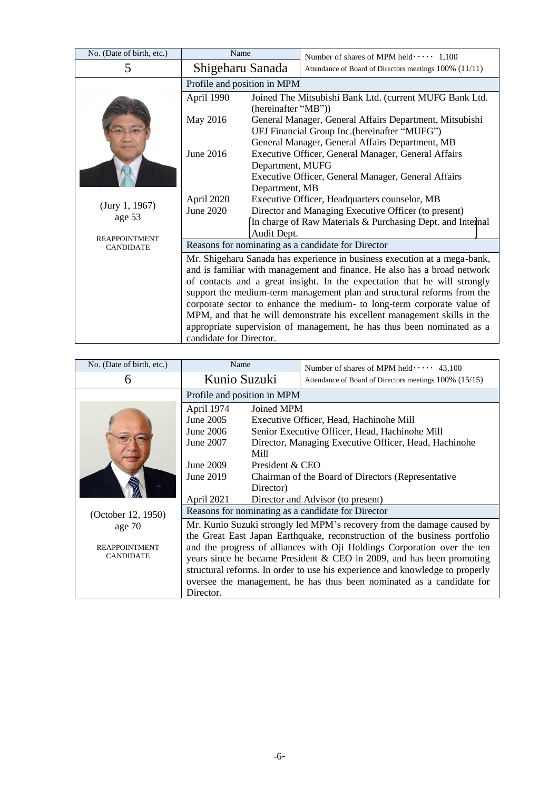| No. (Date of birth, etc.)                | Name                                                                                                                                           | Number of shares of MPM held $\cdots$ 1,100                                                                                                                                                                                                                                                                                                                                                                                                                                                                                                    |  |
|------------------------------------------|------------------------------------------------------------------------------------------------------------------------------------------------|------------------------------------------------------------------------------------------------------------------------------------------------------------------------------------------------------------------------------------------------------------------------------------------------------------------------------------------------------------------------------------------------------------------------------------------------------------------------------------------------------------------------------------------------|--|
| 5                                        | Shigeharu Sanada                                                                                                                               | Attendance of Board of Directors meetings 100% (11/11)                                                                                                                                                                                                                                                                                                                                                                                                                                                                                         |  |
|                                          | Profile and position in MPM                                                                                                                    |                                                                                                                                                                                                                                                                                                                                                                                                                                                                                                                                                |  |
|                                          | April 1990                                                                                                                                     | Joined The Mitsubishi Bank Ltd. (current MUFG Bank Ltd.<br>(hereinafter "MB"))                                                                                                                                                                                                                                                                                                                                                                                                                                                                 |  |
|                                          | May 2016                                                                                                                                       | General Manager, General Affairs Department, Mitsubishi<br>UFJ Financial Group Inc. (hereinafter "MUFG")                                                                                                                                                                                                                                                                                                                                                                                                                                       |  |
|                                          |                                                                                                                                                | General Manager, General Affairs Department, MB                                                                                                                                                                                                                                                                                                                                                                                                                                                                                                |  |
|                                          | June 2016                                                                                                                                      | Executive Officer, General Manager, General Affairs                                                                                                                                                                                                                                                                                                                                                                                                                                                                                            |  |
|                                          | Department, MUFG<br>Executive Officer, General Manager, General Affairs<br>Department, MB                                                      |                                                                                                                                                                                                                                                                                                                                                                                                                                                                                                                                                |  |
|                                          | April 2020                                                                                                                                     | Executive Officer, Headquarters counselor, MB                                                                                                                                                                                                                                                                                                                                                                                                                                                                                                  |  |
| (Jury 1, 1967)<br>age 53                 | June 2020<br>Director and Managing Executive Officer (to present)<br>In charge of Raw Materials & Purchasing Dept. and Internal<br>Audit Dept. |                                                                                                                                                                                                                                                                                                                                                                                                                                                                                                                                                |  |
|                                          |                                                                                                                                                |                                                                                                                                                                                                                                                                                                                                                                                                                                                                                                                                                |  |
| <b>REAPPOINTMENT</b><br><b>CANDIDATE</b> |                                                                                                                                                | Reasons for nominating as a candidate for Director                                                                                                                                                                                                                                                                                                                                                                                                                                                                                             |  |
|                                          | candidate for Director.                                                                                                                        | Mr. Shigeharu Sanada has experience in business execution at a mega-bank,<br>and is familiar with management and finance. He also has a broad network<br>of contacts and a great insight. In the expectation that he will strongly<br>support the medium-term management plan and structural reforms from the<br>corporate sector to enhance the medium- to long-term corporate value of<br>MPM, and that he will demonstrate his excellent management skills in the<br>appropriate supervision of management, he has thus been nominated as a |  |

| No. (Date of birth, etc.) | Name                                                                     |                 | Number of shares of MPM held $\cdots$ 43,100                                 |
|---------------------------|--------------------------------------------------------------------------|-----------------|------------------------------------------------------------------------------|
| 6                         | Kunio Suzuki                                                             |                 | Attendance of Board of Directors meetings 100% (15/15)                       |
|                           | Profile and position in MPM                                              |                 |                                                                              |
|                           | April 1974                                                               | Joined MPM      |                                                                              |
|                           | June 2005                                                                |                 | Executive Officer, Head, Hachinohe Mill                                      |
|                           | June 2006                                                                |                 | Senior Executive Officer, Head, Hachinohe Mill                               |
|                           | June 2007                                                                |                 | Director, Managing Executive Officer, Head, Hachinohe                        |
|                           |                                                                          | Mill            |                                                                              |
|                           | June 2009                                                                | President & CEO |                                                                              |
|                           | June 2019                                                                |                 | Chairman of the Board of Directors (Representative                           |
|                           |                                                                          | Director)       |                                                                              |
|                           | April 2021                                                               |                 | Director and Advisor (to present)                                            |
| (October 12, 1950)        |                                                                          |                 | Reasons for nominating as a candidate for Director                           |
| age $70$                  |                                                                          |                 | Mr. Kunio Suzuki strongly led MPM's recovery from the damage caused by       |
|                           |                                                                          |                 | the Great East Japan Earthquake, reconstruction of the business portfolio    |
| <b>REAPPOINTMENT</b>      | and the progress of alliances with Oji Holdings Corporation over the ten |                 |                                                                              |
| <b>CANDIDATE</b>          | years since he became President & CEO in 2009, and has been promoting    |                 |                                                                              |
|                           |                                                                          |                 | structural reforms. In order to use his experience and knowledge to properly |
|                           | oversee the management, he has thus been nominated as a candidate for    |                 |                                                                              |
|                           | Director.                                                                |                 |                                                                              |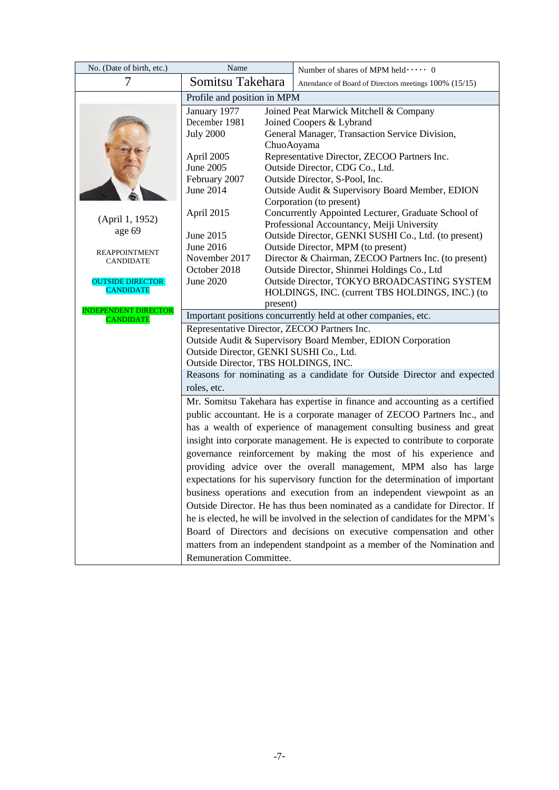| No. (Date of birth, etc.)                | Name                                                                            |            | Number of shares of MPM held  0                                                                   |
|------------------------------------------|---------------------------------------------------------------------------------|------------|---------------------------------------------------------------------------------------------------|
|                                          | Somitsu Takehara                                                                |            | Attendance of Board of Directors meetings 100% (15/15)                                            |
|                                          | Profile and position in MPM                                                     |            |                                                                                                   |
|                                          | January 1977                                                                    |            | Joined Peat Marwick Mitchell & Company                                                            |
|                                          | December 1981                                                                   |            | Joined Coopers & Lybrand                                                                          |
|                                          | <b>July 2000</b>                                                                |            | General Manager, Transaction Service Division,                                                    |
|                                          |                                                                                 | ChuoAoyama |                                                                                                   |
|                                          | April 2005                                                                      |            | Representative Director, ZECOO Partners Inc.                                                      |
|                                          | June 2005                                                                       |            | Outside Director, CDG Co., Ltd.                                                                   |
|                                          | February 2007                                                                   |            | Outside Director, S-Pool, Inc.                                                                    |
|                                          | <b>June 2014</b>                                                                |            | Outside Audit & Supervisory Board Member, EDION                                                   |
|                                          |                                                                                 |            | Corporation (to present)                                                                          |
| (April 1, 1952)                          | April 2015                                                                      |            | Concurrently Appointed Lecturer, Graduate School of<br>Professional Accountancy, Meiji University |
| age 69                                   | June 2015                                                                       |            | Outside Director, GENKI SUSHI Co., Ltd. (to present)                                              |
|                                          | June 2016                                                                       |            | Outside Director, MPM (to present)                                                                |
| <b>REAPPOINTMENT</b><br><b>CANDIDATE</b> | November 2017                                                                   |            | Director & Chairman, ZECOO Partners Inc. (to present)                                             |
|                                          | October 2018                                                                    |            | Outside Director, Shinmei Holdings Co., Ltd                                                       |
| <b>OUTSIDE DIRECTOR</b>                  | June 2020                                                                       |            | Outside Director, TOKYO BROADCASTING SYSTEM                                                       |
| <b>CANDIDATE</b>                         |                                                                                 |            | HOLDINGS, INC. (current TBS HOLDINGS, INC.) (to                                                   |
| <b>INDEPENDENT DIRECTOR</b>              |                                                                                 | present)   |                                                                                                   |
| <b>CANDIDATE</b>                         |                                                                                 |            | Important positions concurrently held at other companies, etc.                                    |
|                                          | Representative Director, ZECOO Partners Inc.                                    |            |                                                                                                   |
|                                          | Outside Audit & Supervisory Board Member, EDION Corporation                     |            |                                                                                                   |
|                                          | Outside Director, GENKI SUSHI Co., Ltd.                                         |            |                                                                                                   |
|                                          | Outside Director, TBS HOLDINGS, INC.                                            |            |                                                                                                   |
|                                          |                                                                                 |            | Reasons for nominating as a candidate for Outside Director and expected                           |
|                                          | roles, etc.                                                                     |            |                                                                                                   |
|                                          |                                                                                 |            | Mr. Somitsu Takehara has expertise in finance and accounting as a certified                       |
|                                          |                                                                                 |            | public accountant. He is a corporate manager of ZECOO Partners Inc., and                          |
|                                          |                                                                                 |            | has a wealth of experience of management consulting business and great                            |
|                                          |                                                                                 |            | insight into corporate management. He is expected to contribute to corporate                      |
|                                          |                                                                                 |            | governance reinforcement by making the most of his experience and                                 |
|                                          |                                                                                 |            | providing advice over the overall management, MPM also has large                                  |
|                                          | expectations for his supervisory function for the determination of important    |            |                                                                                                   |
|                                          | business operations and execution from an independent viewpoint as an           |            |                                                                                                   |
|                                          | Outside Director. He has thus been nominated as a candidate for Director. If    |            |                                                                                                   |
|                                          | he is elected, he will be involved in the selection of candidates for the MPM's |            |                                                                                                   |
|                                          | Board of Directors and decisions on executive compensation and other            |            |                                                                                                   |
|                                          | matters from an independent standpoint as a member of the Nomination and        |            |                                                                                                   |
|                                          | Remuneration Committee.                                                         |            |                                                                                                   |
|                                          |                                                                                 |            |                                                                                                   |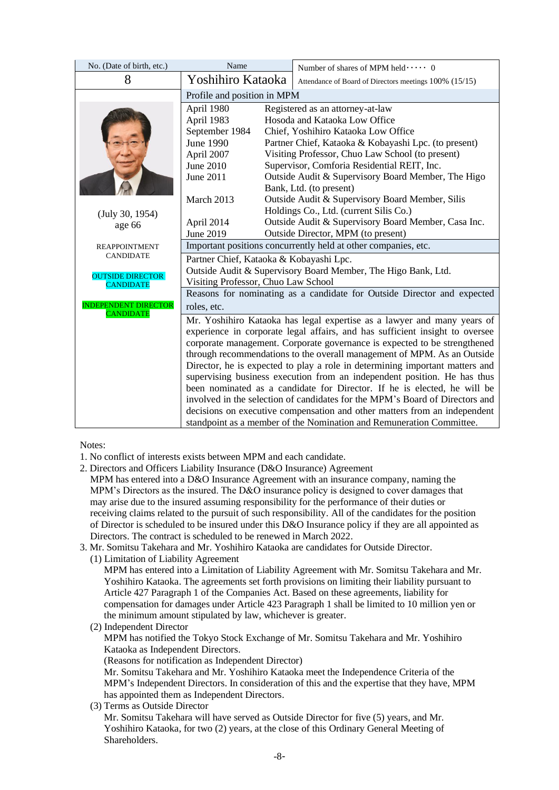| No. (Date of birth, etc.)                       | Name                                                                         |                             | Number of shares of MPM held  0                                              |  |  |
|-------------------------------------------------|------------------------------------------------------------------------------|-----------------------------|------------------------------------------------------------------------------|--|--|
| 8                                               | Yoshihiro Kataoka                                                            |                             | Attendance of Board of Directors meetings 100% (15/15)                       |  |  |
|                                                 |                                                                              | Profile and position in MPM |                                                                              |  |  |
|                                                 | April 1980                                                                   |                             | Registered as an attorney-at-law                                             |  |  |
|                                                 | April 1983                                                                   |                             | Hosoda and Kataoka Low Office                                                |  |  |
|                                                 | September 1984                                                               |                             | Chief, Yoshihiro Kataoka Low Office                                          |  |  |
|                                                 | <b>June 1990</b>                                                             |                             | Partner Chief, Kataoka & Kobayashi Lpc. (to present)                         |  |  |
|                                                 | April 2007                                                                   |                             | Visiting Professor, Chuo Law School (to present)                             |  |  |
|                                                 | June 2010                                                                    |                             | Supervisor, Comforia Residential REIT, Inc.                                  |  |  |
|                                                 | June 2011                                                                    |                             | Outside Audit & Supervisory Board Member, The Higo                           |  |  |
|                                                 |                                                                              |                             | Bank, Ltd. (to present)                                                      |  |  |
|                                                 | March 2013                                                                   |                             | Outside Audit & Supervisory Board Member, Silis                              |  |  |
| (July 30, 1954)                                 |                                                                              |                             | Holdings Co., Ltd. (current Silis Co.)                                       |  |  |
| age 66                                          | April 2014                                                                   |                             | Outside Audit & Supervisory Board Member, Casa Inc.                          |  |  |
|                                                 | June 2019                                                                    |                             | Outside Director, MPM (to present)                                           |  |  |
| <b>REAPPOINTMENT</b>                            | Important positions concurrently held at other companies, etc.               |                             |                                                                              |  |  |
| <b>CANDIDATE</b>                                | Partner Chief, Kataoka & Kobayashi Lpc.                                      |                             |                                                                              |  |  |
| <b>OUTSIDE DIRECTOR</b>                         |                                                                              |                             | Outside Audit & Supervisory Board Member, The Higo Bank, Ltd.                |  |  |
| <b>CANDIDATE</b>                                | Visiting Professor, Chuo Law School                                          |                             |                                                                              |  |  |
|                                                 |                                                                              |                             | Reasons for nominating as a candidate for Outside Director and expected      |  |  |
| <b>INDEPENDENT DIRECTOR</b><br><b>CANDIDATE</b> | roles, etc.                                                                  |                             |                                                                              |  |  |
|                                                 |                                                                              |                             | Mr. Yoshihiro Kataoka has legal expertise as a lawyer and many years of      |  |  |
|                                                 |                                                                              |                             | experience in corporate legal affairs, and has sufficient insight to oversee |  |  |
|                                                 |                                                                              |                             | corporate management. Corporate governance is expected to be strengthened    |  |  |
|                                                 |                                                                              |                             | through recommendations to the overall management of MPM. As an Outside      |  |  |
|                                                 | Director, he is expected to play a role in determining important matters and |                             |                                                                              |  |  |
|                                                 | supervising business execution from an independent position. He has thus     |                             |                                                                              |  |  |
|                                                 | been nominated as a candidate for Director. If he is elected, he will be     |                             |                                                                              |  |  |
|                                                 | involved in the selection of candidates for the MPM's Board of Directors and |                             |                                                                              |  |  |
|                                                 | decisions on executive compensation and other matters from an independent    |                             |                                                                              |  |  |
|                                                 |                                                                              |                             | standpoint as a member of the Nomination and Remuneration Committee.         |  |  |

Notes:

- 1. No conflict of interests exists between MPM and each candidate.
- 2. Directors and Officers Liability Insurance (D&O Insurance) Agreement
- MPM has entered into a D&O Insurance Agreement with an insurance company, naming the MPM's Directors as the insured. The D&O insurance policy is designed to cover damages that may arise due to the insured assuming responsibility for the performance of their duties or receiving claims related to the pursuit of such responsibility. All of the candidates for the position of Director is scheduled to be insured under this D&O Insurance policy if they are all appointed as Directors. The contract is scheduled to be renewed in March 2022.
- 3. Mr. Somitsu Takehara and Mr. Yoshihiro Kataoka are candidates for Outside Director.
	- (1) Limitation of Liability Agreement MPM has entered into a Limitation of Liability Agreement with Mr. Somitsu Takehara and Mr. Yoshihiro Kataoka. The agreements set forth provisions on limiting their liability pursuant to Article 427 Paragraph 1 of the Companies Act. Based on these agreements, liability for compensation for damages under Article 423 Paragraph 1 shall be limited to 10 million yen or the minimum amount stipulated by law, whichever is greater.
	- (2) Independent Director MPM has notified the Tokyo Stock Exchange of Mr. Somitsu Takehara and Mr. Yoshihiro Kataoka as Independent Directors. (Reasons for notification as Independent Director) Mr. Somitsu Takehara and Mr. Yoshihiro Kataoka meet the Independence Criteria of the MPM's Independent Directors. In consideration of this and the expertise that they have, MPM has appointed them as Independent Directors.
	- (3) Terms as Outside Director Mr. Somitsu Takehara will have served as Outside Director for five (5) years, and Mr. Yoshihiro Kataoka, for two (2) years, at the close of this Ordinary General Meeting of Shareholders.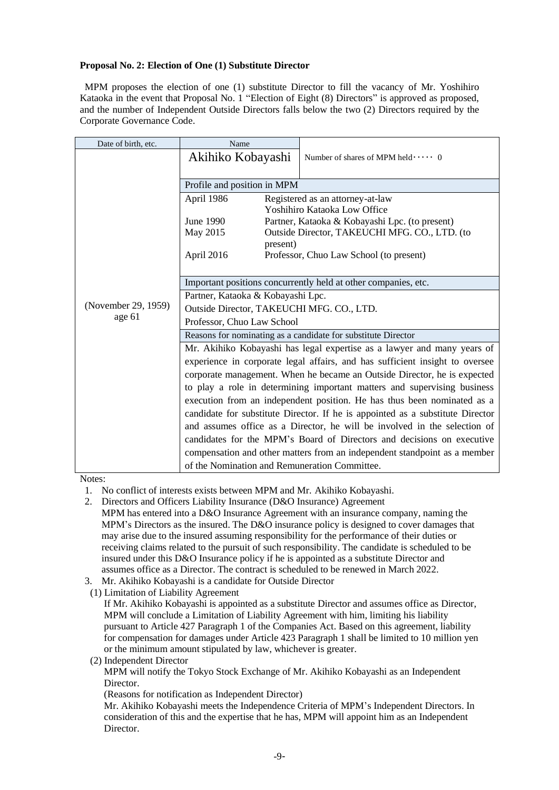# **Proposal No. 2: Election of One (1) Substitute Director**

MPM proposes the election of one (1) substitute Director to fill the vacancy of Mr. Yoshihiro Kataoka in the event that Proposal No. 1 "Election of Eight (8) Directors" is approved as proposed, and the number of Independent Outside Directors falls below the two (2) Directors required by the Corporate Governance Code.

| Date of birth, etc. | Name                                                                           |                                                |  |  |
|---------------------|--------------------------------------------------------------------------------|------------------------------------------------|--|--|
|                     | Akihiko Kobayashi                                                              | Number of shares of MPM held  0                |  |  |
|                     |                                                                                |                                                |  |  |
|                     | Profile and position in MPM                                                    |                                                |  |  |
|                     | April 1986                                                                     | Registered as an attorney-at-law               |  |  |
|                     |                                                                                | Yoshihiro Kataoka Low Office                   |  |  |
|                     | June 1990                                                                      | Partner, Kataoka & Kobayashi Lpc. (to present) |  |  |
|                     | May 2015                                                                       | Outside Director, TAKEUCHI MFG. CO., LTD. (to  |  |  |
|                     | present)                                                                       |                                                |  |  |
|                     | April 2016                                                                     | Professor, Chuo Law School (to present)        |  |  |
|                     |                                                                                |                                                |  |  |
|                     | Important positions concurrently held at other companies, etc.                 |                                                |  |  |
|                     | Partner, Kataoka & Kobayashi Lpc.                                              |                                                |  |  |
| (November 29, 1959) | Outside Director, TAKEUCHI MFG. CO., LTD.                                      |                                                |  |  |
| age 61              | Professor, Chuo Law School                                                     |                                                |  |  |
|                     | Reasons for nominating as a candidate for substitute Director                  |                                                |  |  |
|                     | Mr. Akihiko Kobayashi has legal expertise as a lawyer and many years of        |                                                |  |  |
|                     | experience in corporate legal affairs, and has sufficient insight to oversee   |                                                |  |  |
|                     | corporate management. When he became an Outside Director, he is expected       |                                                |  |  |
|                     | to play a role in determining important matters and supervising business       |                                                |  |  |
|                     | execution from an independent position. He has thus been nominated as a        |                                                |  |  |
|                     | candidate for substitute Director. If he is appointed as a substitute Director |                                                |  |  |
|                     | and assumes office as a Director, he will be involved in the selection of      |                                                |  |  |
|                     | candidates for the MPM's Board of Directors and decisions on executive         |                                                |  |  |
|                     | compensation and other matters from an independent standpoint as a member      |                                                |  |  |
|                     | of the Nomination and Remuneration Committee.                                  |                                                |  |  |

Notes:

- 1. No conflict of interests exists between MPM and Mr. Akihiko Kobayashi.
- 2. Directors and Officers Liability Insurance (D&O Insurance) Agreement
- MPM has entered into a D&O Insurance Agreement with an insurance company, naming the MPM's Directors as the insured. The D&O insurance policy is designed to cover damages that may arise due to the insured assuming responsibility for the performance of their duties or receiving claims related to the pursuit of such responsibility. The candidate is scheduled to be insured under this D&O Insurance policy if he is appointed as a substitute Director and assumes office as a Director. The contract is scheduled to be renewed in March 2022.
- 3. Mr. Akihiko Kobayashi is a candidate for Outside Director
- (1) Limitation of Liability Agreement
	- If Mr. Akihiko Kobayashi is appointed as a substitute Director and assumes office as Director, MPM will conclude a Limitation of Liability Agreement with him, limiting his liability pursuant to Article 427 Paragraph 1 of the Companies Act. Based on this agreement, liability for compensation for damages under Article 423 Paragraph 1 shall be limited to 10 million yen or the minimum amount stipulated by law, whichever is greater.
- (2) Independent Director

MPM will notify the Tokyo Stock Exchange of Mr. Akihiko Kobayashi as an Independent Director.

(Reasons for notification as Independent Director)

Mr. Akihiko Kobayashi meets the Independence Criteria of MPM's Independent Directors. In consideration of this and the expertise that he has, MPM will appoint him as an Independent Director.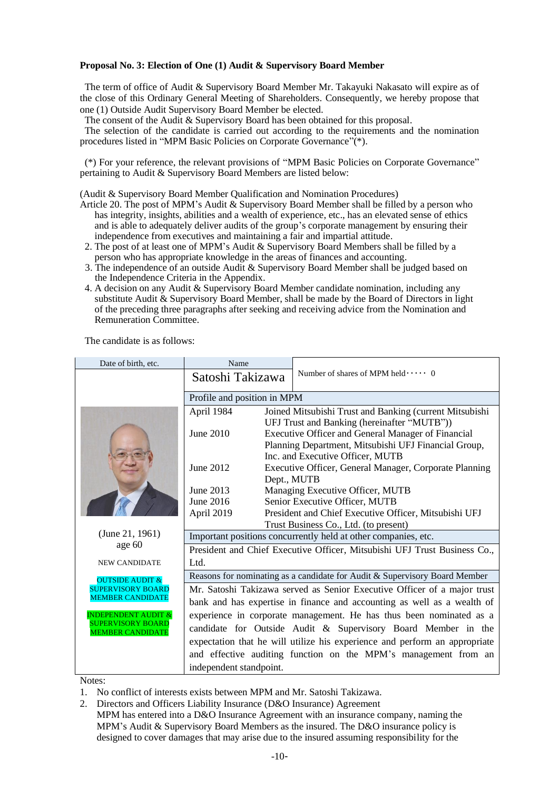## **Proposal No. 3: Election of One (1) Audit & Supervisory Board Member**

The term of office of Audit & Supervisory Board Member Mr. Takayuki Nakasato will expire as of the close of this Ordinary General Meeting of Shareholders. Consequently, we hereby propose that one (1) Outside Audit Supervisory Board Member be elected.

The consent of the Audit & Supervisory Board has been obtained for this proposal.

The selection of the candidate is carried out according to the requirements and the nomination procedures listed in "MPM Basic Policies on Corporate Governance"(\*).

(\*) For your reference, the relevant provisions of "MPM Basic Policies on Corporate Governance" pertaining to Audit & Supervisory Board Members are listed below:

(Audit & Supervisory Board Member Qualification and Nomination Procedures)

- Article 20. The post of MPM's Audit & Supervisory Board Member shall be filled by a person who has integrity, insights, abilities and a wealth of experience, etc., has an elevated sense of ethics and is able to adequately deliver audits of the group's corporate management by ensuring their independence from executives and maintaining a fair and impartial attitude.
- 2. The post of at least one of MPM's Audit & Supervisory Board Members shall be filled by a person who has appropriate knowledge in the areas of finances and accounting.
- 3. The independence of an outside Audit & Supervisory Board Member shall be judged based on the Independence Criteria in the Appendix.
- 4. A decision on any Audit & Supervisory Board Member candidate nomination, including any substitute Audit & Supervisory Board Member, shall be made by the Board of Directors in light of the preceding three paragraphs after seeking and receiving advice from the Nomination and Remuneration Committee.

| Number of shares of MPM held  0                                                                                      |                                                                                                                                             |  |  |
|----------------------------------------------------------------------------------------------------------------------|---------------------------------------------------------------------------------------------------------------------------------------------|--|--|
| Satoshi Takizawa                                                                                                     |                                                                                                                                             |  |  |
| Profile and position in MPM                                                                                          |                                                                                                                                             |  |  |
| April 1984<br>Joined Mitsubishi Trust and Banking (current Mitsubishi<br>UFJ Trust and Banking (hereinafter "MUTB")) |                                                                                                                                             |  |  |
| June 2010<br>Executive Officer and General Manager of Financial                                                      |                                                                                                                                             |  |  |
| Planning Department, Mitsubishi UFJ Financial Group,<br>Inc. and Executive Officer, MUTB                             |                                                                                                                                             |  |  |
| June 2012<br>Executive Officer, General Manager, Corporate Planning<br>Dept., MUTB                                   |                                                                                                                                             |  |  |
| June 2013<br>Managing Executive Officer, MUTB                                                                        |                                                                                                                                             |  |  |
| June 2016<br>Senior Executive Officer, MUTB                                                                          |                                                                                                                                             |  |  |
| President and Chief Executive Officer, Mitsubishi UFJ<br>April 2019                                                  |                                                                                                                                             |  |  |
| Trust Business Co., Ltd. (to present)                                                                                |                                                                                                                                             |  |  |
| (June 21, 1961)                                                                                                      | Important positions concurrently held at other companies, etc.<br>President and Chief Executive Officer, Mitsubishi UFJ Trust Business Co., |  |  |
| age 60                                                                                                               |                                                                                                                                             |  |  |
| Ltd.<br><b>NEW CANDIDATE</b>                                                                                         |                                                                                                                                             |  |  |
| Reasons for nominating as a candidate for Audit & Supervisory Board Member<br><b>OUTSIDE AUDIT &amp;</b>             |                                                                                                                                             |  |  |
| <b>SUPERVISORY BOARD</b>                                                                                             | Mr. Satoshi Takizawa served as Senior Executive Officer of a major trust                                                                    |  |  |
| <b>MEMBER CANDIDATE</b><br>bank and has expertise in finance and accounting as well as a wealth of                   |                                                                                                                                             |  |  |
| <b>INDEPENDENT AUDIT &amp;</b><br>experience in corporate management. He has thus been nominated as a                |                                                                                                                                             |  |  |
| <b>SUPERVISORY BOARD</b><br>candidate for Outside Audit & Supervisory Board Member in the<br><b>MEMBER CANDIDATE</b> |                                                                                                                                             |  |  |
| expectation that he will utilize his experience and perform an appropriate                                           |                                                                                                                                             |  |  |
| and effective auditing function on the MPM's management from an                                                      |                                                                                                                                             |  |  |
| independent standpoint.                                                                                              |                                                                                                                                             |  |  |

The candidate is as follows:

Notes:

- 1. No conflict of interests exists between MPM and Mr. Satoshi Takizawa.
- 2. Directors and Officers Liability Insurance (D&O Insurance) Agreement
- MPM has entered into a D&O Insurance Agreement with an insurance company, naming the MPM's Audit & Supervisory Board Members as the insured. The D&O insurance policy is designed to cover damages that may arise due to the insured assuming responsibility for the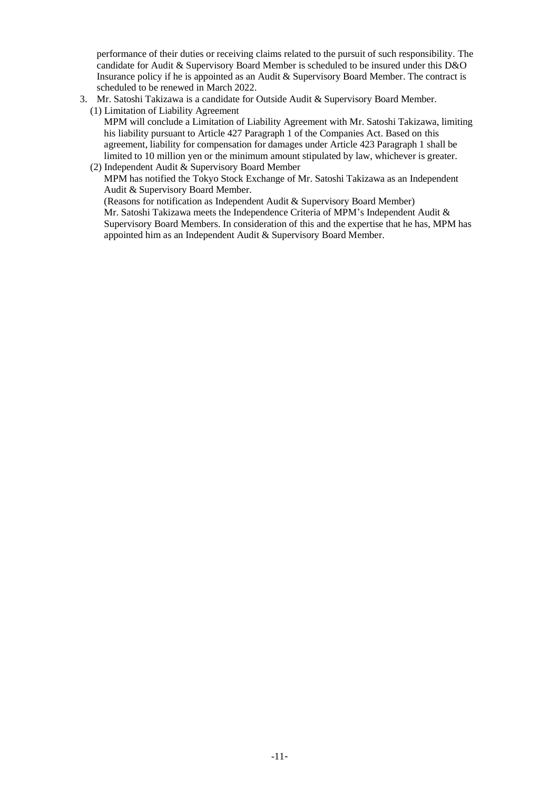performance of their duties or receiving claims related to the pursuit of such responsibility. The candidate for Audit & Supervisory Board Member is scheduled to be insured under this D&O Insurance policy if he is appointed as an Audit & Supervisory Board Member. The contract is scheduled to be renewed in March 2022.

- 3. Mr. Satoshi Takizawa is a candidate for Outside Audit & Supervisory Board Member.
	- (1) Limitation of Liability Agreement MPM will conclude a Limitation of Liability Agreement with Mr. Satoshi Takizawa, limiting his liability pursuant to Article 427 Paragraph 1 of the Companies Act. Based on this agreement, liability for compensation for damages under Article 423 Paragraph 1 shall be limited to 10 million yen or the minimum amount stipulated by law, whichever is greater.

## (2) Independent Audit & Supervisory Board Member MPM has notified the Tokyo Stock Exchange of Mr. Satoshi Takizawa as an Independent Audit & Supervisory Board Member. (Reasons for notification as Independent Audit & Supervisory Board Member) Mr. Satoshi Takizawa meets the Independence Criteria of MPM's Independent Audit & Supervisory Board Members. In consideration of this and the expertise that he has, MPM has appointed him as an Independent Audit & Supervisory Board Member.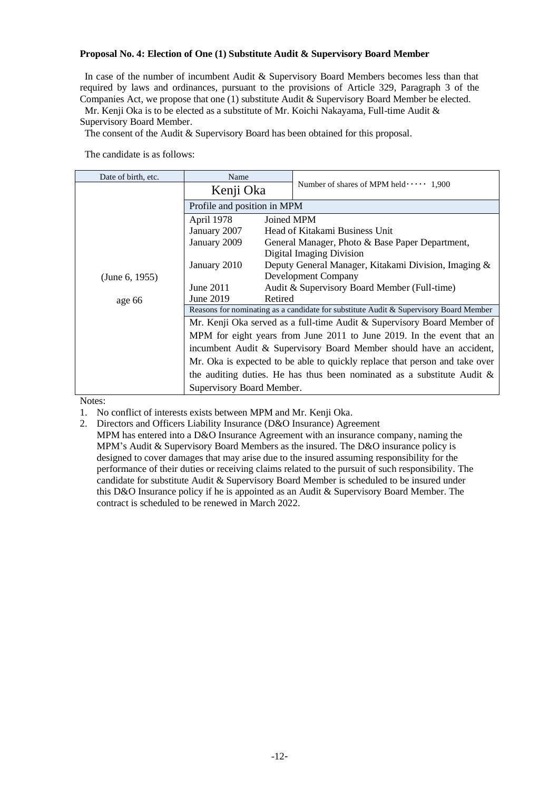# **Proposal No. 4: Election of One (1) Substitute Audit & Supervisory Board Member**

In case of the number of incumbent Audit & Supervisory Board Members becomes less than that required by laws and ordinances, pursuant to the provisions of Article 329, Paragraph 3 of the Companies Act, we propose that one (1) substitute Audit & Supervisory Board Member be elected. Mr. Kenji Oka is to be elected as a substitute of Mr. Koichi Nakayama, Full-time Audit &

Supervisory Board Member.

The consent of the Audit & Supervisory Board has been obtained for this proposal.

The candidate is as follows:

| Date of birth, etc.       | Name                                                                                                                                                             |                                                      |  |
|---------------------------|------------------------------------------------------------------------------------------------------------------------------------------------------------------|------------------------------------------------------|--|
|                           | Kenji Oka                                                                                                                                                        | Number of shares of MPM held $\cdots$ 1,900          |  |
|                           | Profile and position in MPM                                                                                                                                      |                                                      |  |
|                           | April 1978                                                                                                                                                       | Joined MPM                                           |  |
|                           | January 2007                                                                                                                                                     | Head of Kitakami Business Unit                       |  |
|                           | January 2009                                                                                                                                                     | General Manager, Photo & Base Paper Department,      |  |
|                           |                                                                                                                                                                  | Digital Imaging Division                             |  |
|                           | January 2010                                                                                                                                                     | Deputy General Manager, Kitakami Division, Imaging & |  |
| (June 6, 1955)            |                                                                                                                                                                  | Development Company                                  |  |
|                           | June $2011$                                                                                                                                                      | Audit & Supervisory Board Member (Full-time)         |  |
| age 66                    | June 2019<br>Retired                                                                                                                                             |                                                      |  |
|                           | Reasons for nominating as a candidate for substitute Audit & Supervisory Board Member<br>Mr. Kenji Oka served as a full-time Audit & Supervisory Board Member of |                                                      |  |
|                           |                                                                                                                                                                  |                                                      |  |
|                           | MPM for eight years from June 2011 to June 2019. In the event that an                                                                                            |                                                      |  |
|                           | incumbent Audit & Supervisory Board Member should have an accident,                                                                                              |                                                      |  |
|                           | Mr. Oka is expected to be able to quickly replace that person and take over                                                                                      |                                                      |  |
|                           | the auditing duties. He has thus been nominated as a substitute Audit $\&$                                                                                       |                                                      |  |
| Supervisory Board Member. |                                                                                                                                                                  |                                                      |  |

Notes:

- 1. No conflict of interests exists between MPM and Mr. Kenji Oka.
- 2. Directors and Officers Liability Insurance (D&O Insurance) Agreement

MPM has entered into a D&O Insurance Agreement with an insurance company, naming the MPM's Audit & Supervisory Board Members as the insured. The D&O insurance policy is designed to cover damages that may arise due to the insured assuming responsibility for the performance of their duties or receiving claims related to the pursuit of such responsibility. The candidate for substitute Audit & Supervisory Board Member is scheduled to be insured under this D&O Insurance policy if he is appointed as an Audit & Supervisory Board Member. The contract is scheduled to be renewed in March 2022.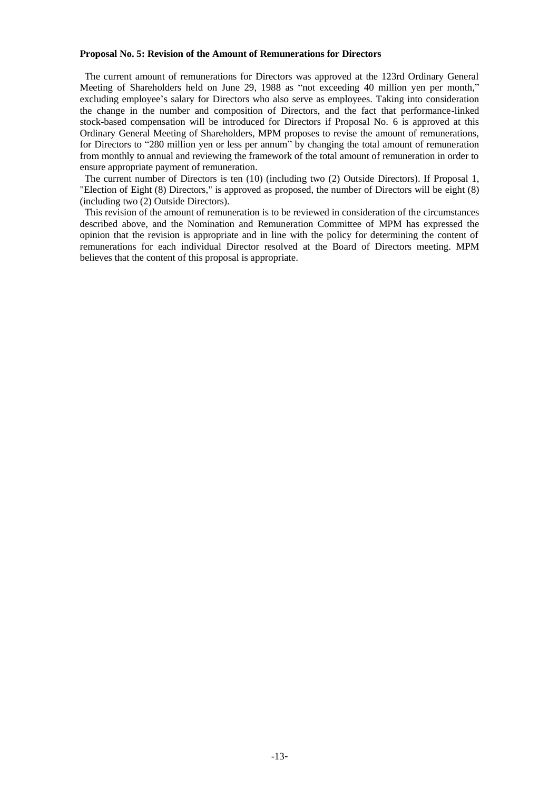#### **Proposal No. 5: Revision of the Amount of Remunerations for Directors**

The current amount of remunerations for Directors was approved at the 123rd Ordinary General Meeting of Shareholders held on June 29, 1988 as "not exceeding 40 million yen per month," excluding employee's salary for Directors who also serve as employees. Taking into consideration the change in the number and composition of Directors, and the fact that performance-linked stock-based compensation will be introduced for Directors if Proposal No. 6 is approved at this Ordinary General Meeting of Shareholders, MPM proposes to revise the amount of remunerations, for Directors to "280 million yen or less per annum" by changing the total amount of remuneration from monthly to annual and reviewing the framework of the total amount of remuneration in order to ensure appropriate payment of remuneration.

The current number of Directors is ten (10) (including two (2) Outside Directors). If Proposal 1, "Election of Eight (8) Directors," is approved as proposed, the number of Directors will be eight (8) (including two (2) Outside Directors).

This revision of the amount of remuneration is to be reviewed in consideration of the circumstances described above, and the Nomination and Remuneration Committee of MPM has expressed the opinion that the revision is appropriate and in line with the policy for determining the content of remunerations for each individual Director resolved at the Board of Directors meeting. MPM believes that the content of this proposal is appropriate.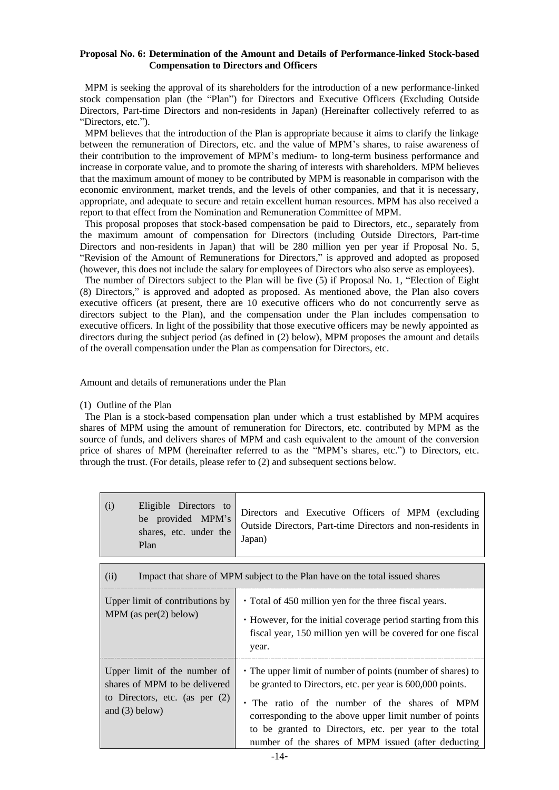## **Proposal No. 6: Determination of the Amount and Details of Performance-linked Stock-based Compensation to Directors and Officers**

MPM is seeking the approval of its shareholders for the introduction of a new performance-linked stock compensation plan (the "Plan") for Directors and Executive Officers (Excluding Outside Directors, Part-time Directors and non-residents in Japan) (Hereinafter collectively referred to as "Directors, etc.").

MPM believes that the introduction of the Plan is appropriate because it aims to clarify the linkage between the remuneration of Directors, etc. and the value of MPM's shares, to raise awareness of their contribution to the improvement of MPM's medium- to long-term business performance and increase in corporate value, and to promote the sharing of interests with shareholders. MPM believes that the maximum amount of money to be contributed by MPM is reasonable in comparison with the economic environment, market trends, and the levels of other companies, and that it is necessary, appropriate, and adequate to secure and retain excellent human resources. MPM has also received a report to that effect from the Nomination and Remuneration Committee of MPM.

This proposal proposes that stock-based compensation be paid to Directors, etc., separately from the maximum amount of compensation for Directors (including Outside Directors, Part-time Directors and non-residents in Japan) that will be 280 million yen per year if Proposal No. 5, "Revision of the Amount of Remunerations for Directors," is approved and adopted as proposed (however, this does not include the salary for employees of Directors who also serve as employees).

The number of Directors subject to the Plan will be five (5) if Proposal No. 1, "Election of Eight (8) Directors," is approved and adopted as proposed. As mentioned above, the Plan also covers executive officers (at present, there are 10 executive officers who do not concurrently serve as directors subject to the Plan), and the compensation under the Plan includes compensation to executive officers. In light of the possibility that those executive officers may be newly appointed as directors during the subject period (as defined in (2) below), MPM proposes the amount and details of the overall compensation under the Plan as compensation for Directors, etc.

Amount and details of remunerations under the Plan

## (1) Outline of the Plan

The Plan is a stock-based compensation plan under which a trust established by MPM acquires shares of MPM using the amount of remuneration for Directors, etc. contributed by MPM as the source of funds, and delivers shares of MPM and cash equivalent to the amount of the conversion price of shares of MPM (hereinafter referred to as the "MPM's shares, etc.") to Directors, etc. through the trust. (For details, please refer to (2) and subsequent sections below.

| (i)<br>Eligible Directors to<br>be provided MPM's<br>shares, etc. under the<br>Plan                                   | Directors and Executive Officers of MPM (excluding<br>Outside Directors, Part-time Directors and non-residents in<br>Japan)                                                                                                                                                                                                                            |  |
|-----------------------------------------------------------------------------------------------------------------------|--------------------------------------------------------------------------------------------------------------------------------------------------------------------------------------------------------------------------------------------------------------------------------------------------------------------------------------------------------|--|
| (ii)<br>Impact that share of MPM subject to the Plan have on the total issued shares                                  |                                                                                                                                                                                                                                                                                                                                                        |  |
| Upper limit of contributions by<br>MPM (as $per(2)$ below)                                                            | • Total of 450 million yen for the three fiscal years.<br>• However, for the initial coverage period starting from this<br>fiscal year, 150 million yen will be covered for one fiscal<br>year.                                                                                                                                                        |  |
| Upper limit of the number of<br>shares of MPM to be delivered<br>to Directors, etc. (as per $(2)$<br>and $(3)$ below) | • The upper limit of number of points (number of shares) to<br>be granted to Directors, etc. per year is 600,000 points.<br>• The ratio of the number of the shares of MPM<br>corresponding to the above upper limit number of points<br>to be granted to Directors, etc. per year to the total<br>number of the shares of MPM issued (after deducting |  |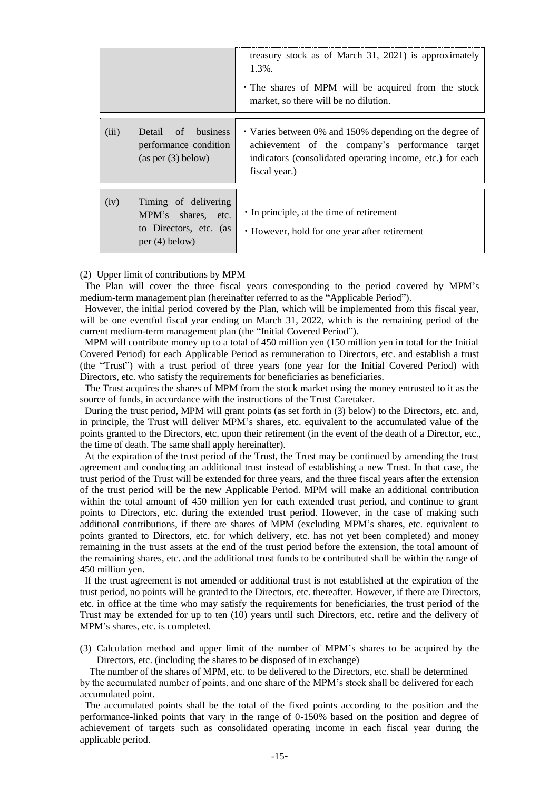|       |                                                                                          | treasury stock as of March 31, 2021) is approximately<br>1.3%.<br>• The shares of MPM will be acquired from the stock<br>market, so there will be no dilution.                           |
|-------|------------------------------------------------------------------------------------------|------------------------------------------------------------------------------------------------------------------------------------------------------------------------------------------|
| (iii) | of<br>business<br>Detail<br>performance condition<br>(as per (3) below)                  | • Varies between 0% and 150% depending on the degree of<br>achievement of the company's performance target<br>indicators (consolidated operating income, etc.) for each<br>fiscal year.) |
| (iv)  | Timing of delivering<br>MPM's shares, etc.<br>to Directors, etc. (as<br>per $(4)$ below) | • In principle, at the time of retirement<br>• However, hold for one year after retirement                                                                                               |

## (2) Upper limit of contributions by MPM

The Plan will cover the three fiscal years corresponding to the period covered by MPM's medium-term management plan (hereinafter referred to as the "Applicable Period").

However, the initial period covered by the Plan, which will be implemented from this fiscal year, will be one eventful fiscal year ending on March 31, 2022, which is the remaining period of the current medium-term management plan (the "Initial Covered Period").

MPM will contribute money up to a total of 450 million yen (150 million yen in total for the Initial Covered Period) for each Applicable Period as remuneration to Directors, etc. and establish a trust (the "Trust") with a trust period of three years (one year for the Initial Covered Period) with Directors, etc. who satisfy the requirements for beneficiaries as beneficiaries.

The Trust acquires the shares of MPM from the stock market using the money entrusted to it as the source of funds, in accordance with the instructions of the Trust Caretaker.

During the trust period, MPM will grant points (as set forth in (3) below) to the Directors, etc. and, in principle, the Trust will deliver MPM's shares, etc. equivalent to the accumulated value of the points granted to the Directors, etc. upon their retirement (in the event of the death of a Director, etc., the time of death. The same shall apply hereinafter).

At the expiration of the trust period of the Trust, the Trust may be continued by amending the trust agreement and conducting an additional trust instead of establishing a new Trust. In that case, the trust period of the Trust will be extended for three years, and the three fiscal years after the extension of the trust period will be the new Applicable Period. MPM will make an additional contribution within the total amount of 450 million yen for each extended trust period, and continue to grant points to Directors, etc. during the extended trust period. However, in the case of making such additional contributions, if there are shares of MPM (excluding MPM's shares, etc. equivalent to points granted to Directors, etc. for which delivery, etc. has not yet been completed) and money remaining in the trust assets at the end of the trust period before the extension, the total amount of the remaining shares, etc. and the additional trust funds to be contributed shall be within the range of 450 million yen.

If the trust agreement is not amended or additional trust is not established at the expiration of the trust period, no points will be granted to the Directors, etc. thereafter. However, if there are Directors, etc. in office at the time who may satisfy the requirements for beneficiaries, the trust period of the Trust may be extended for up to ten (10) years until such Directors, etc. retire and the delivery of MPM's shares, etc. is completed.

(3) Calculation method and upper limit of the number of MPM's shares to be acquired by the Directors, etc. (including the shares to be disposed of in exchange)

The number of the shares of MPM, etc. to be delivered to the Directors, etc. shall be determined by the accumulated number of points, and one share of the MPM's stock shall be delivered for each accumulated point.

The accumulated points shall be the total of the fixed points according to the position and the performance-linked points that vary in the range of 0-150% based on the position and degree of achievement of targets such as consolidated operating income in each fiscal year during the applicable period.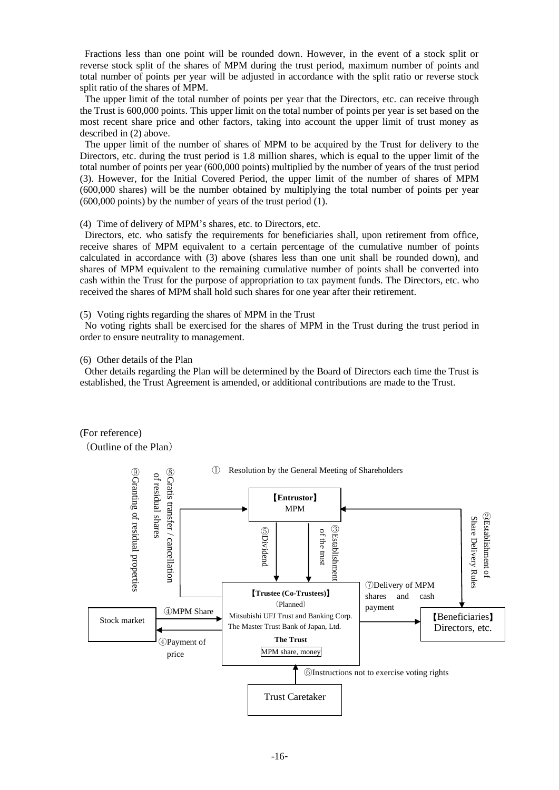Fractions less than one point will be rounded down. However, in the event of a stock split or reverse stock split of the shares of MPM during the trust period, maximum number of points and total number of points per year will be adjusted in accordance with the split ratio or reverse stock split ratio of the shares of MPM.

The upper limit of the total number of points per year that the Directors, etc. can receive through the Trust is 600,000 points. This upper limit on the total number of points per year is set based on the most recent share price and other factors, taking into account the upper limit of trust money as described in (2) above.

The upper limit of the number of shares of MPM to be acquired by the Trust for delivery to the Directors, etc. during the trust period is 1.8 million shares, which is equal to the upper limit of the total number of points per year (600,000 points) multiplied by the number of years of the trust period (3). However, for the Initial Covered Period, the upper limit of the number of shares of MPM (600,000 shares) will be the number obtained by multiplying the total number of points per year (600,000 points) by the number of years of the trust period (1).

(4) Time of delivery of MPM's shares, etc. to Directors, etc.

Directors, etc. who satisfy the requirements for beneficiaries shall, upon retirement from office, receive shares of MPM equivalent to a certain percentage of the cumulative number of points calculated in accordance with (3) above (shares less than one unit shall be rounded down), and shares of MPM equivalent to the remaining cumulative number of points shall be converted into cash within the Trust for the purpose of appropriation to tax payment funds. The Directors, etc. who received the shares of MPM shall hold such shares for one year after their retirement.

(5) Voting rights regarding the shares of MPM in the Trust

No voting rights shall be exercised for the shares of MPM in the Trust during the trust period in order to ensure neutrality to management.

(6) Other details of the Plan

Other details regarding the Plan will be determined by the Board of Directors each time the Trust is established, the Trust Agreement is amended, or additional contributions are made to the Trust.

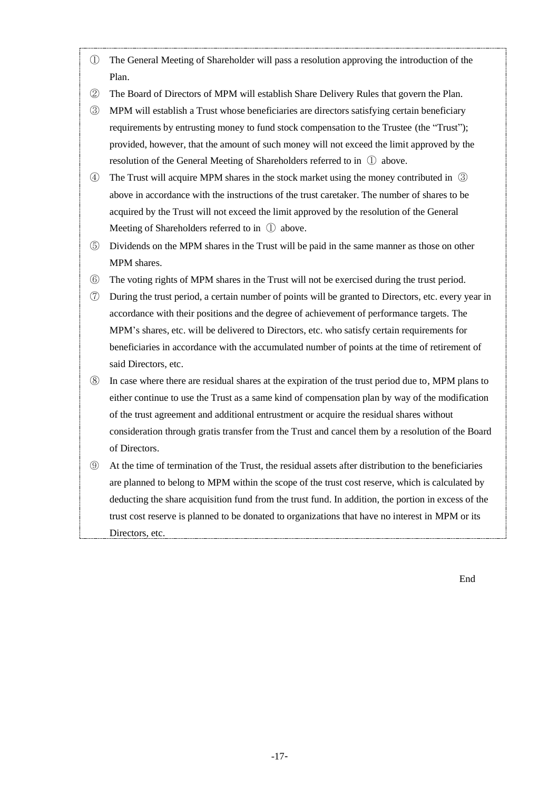- ① The General Meeting of Shareholder will pass a resolution approving the introduction of the Plan.
- ② The Board of Directors of MPM will establish Share Delivery Rules that govern the Plan.
- ③ MPM will establish a Trust whose beneficiaries are directors satisfying certain beneficiary requirements by entrusting money to fund stock compensation to the Trustee (the "Trust"); provided, however, that the amount of such money will not exceed the limit approved by the resolution of the General Meeting of Shareholders referred to in ① above.
- ④ The Trust will acquire MPM shares in the stock market using the money contributed in ③ above in accordance with the instructions of the trust caretaker. The number of shares to be acquired by the Trust will not exceed the limit approved by the resolution of the General Meeting of Shareholders referred to in ① above.
- ⑤ Dividends on the MPM shares in the Trust will be paid in the same manner as those on other MPM shares.
- ⑥ The voting rights of MPM shares in the Trust will not be exercised during the trust period.
- ⑦ During the trust period, a certain number of points will be granted to Directors, etc. every year in accordance with their positions and the degree of achievement of performance targets. The MPM's shares, etc. will be delivered to Directors, etc. who satisfy certain requirements for beneficiaries in accordance with the accumulated number of points at the time of retirement of said Directors, etc.
- ⑧ In case where there are residual shares at the expiration of the trust period due to, MPM plans to either continue to use the Trust as a same kind of compensation plan by way of the modification of the trust agreement and additional entrustment or acquire the residual shares without consideration through gratis transfer from the Trust and cancel them by a resolution of the Board of Directors.
- ⑨ At the time of termination of the Trust, the residual assets after distribution to the beneficiaries are planned to belong to MPM within the scope of the trust cost reserve, which is calculated by deducting the share acquisition fund from the trust fund. In addition, the portion in excess of the trust cost reserve is planned to be donated to organizations that have no interest in MPM or its Directors, etc.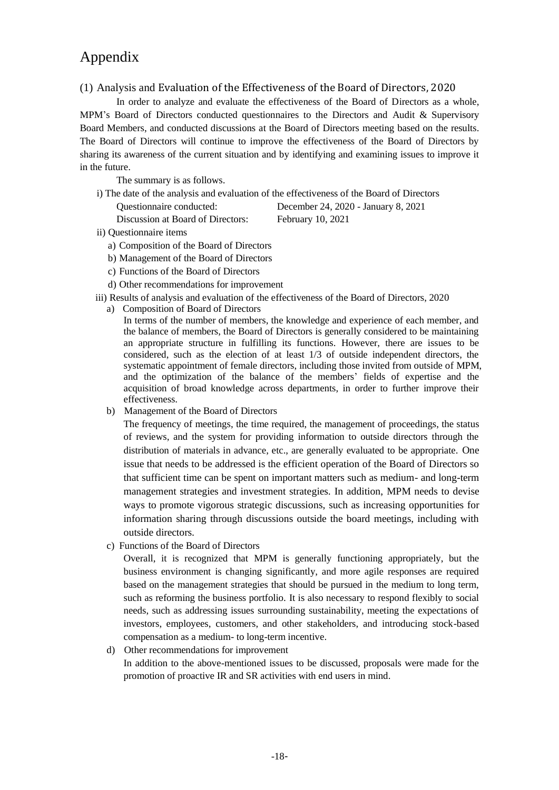# Appendix

# (1) Analysis and Evaluation of the Effectiveness of the Board of Directors, 2020

In order to analyze and evaluate the effectiveness of the Board of Directors as a whole, MPM's Board of Directors conducted questionnaires to the Directors and Audit & Supervisory Board Members, and conducted discussions at the Board of Directors meeting based on the results. The Board of Directors will continue to improve the effectiveness of the Board of Directors by sharing its awareness of the current situation and by identifying and examining issues to improve it in the future.

The summary is as follows.

i) The date of the analysis and evaluation of the effectiveness of the Board of Directors

Discussion at Board of Directors: February 10, 2021

Questionnaire conducted: December 24, 2020 - January 8, 2021

- ii) Questionnaire items
	- a) Composition of the Board of Directors
	- b) Management of the Board of Directors
	- c) Functions of the Board of Directors
	- d) Other recommendations for improvement
- iii) Results of analysis and evaluation of the effectiveness of the Board of Directors, 2020
	- a) Composition of Board of Directors

In terms of the number of members, the knowledge and experience of each member, and the balance of members, the Board of Directors is generally considered to be maintaining an appropriate structure in fulfilling its functions. However, there are issues to be considered, such as the election of at least 1/3 of outside independent directors, the systematic appointment of female directors, including those invited from outside of MPM, and the optimization of the balance of the members' fields of expertise and the acquisition of broad knowledge across departments, in order to further improve their effectiveness.

b) Management of the Board of Directors

The frequency of meetings, the time required, the management of proceedings, the status of reviews, and the system for providing information to outside directors through the distribution of materials in advance, etc., are generally evaluated to be appropriate. One issue that needs to be addressed is the efficient operation of the Board of Directors so that sufficient time can be spent on important matters such as medium- and long-term management strategies and investment strategies. In addition, MPM needs to devise ways to promote vigorous strategic discussions, such as increasing opportunities for information sharing through discussions outside the board meetings, including with outside directors.

c) Functions of the Board of Directors

Overall, it is recognized that MPM is generally functioning appropriately, but the business environment is changing significantly, and more agile responses are required based on the management strategies that should be pursued in the medium to long term, such as reforming the business portfolio. It is also necessary to respond flexibly to social needs, such as addressing issues surrounding sustainability, meeting the expectations of investors, employees, customers, and other stakeholders, and introducing stock-based compensation as a medium- to long-term incentive.

d) Other recommendations for improvement

In addition to the above-mentioned issues to be discussed, proposals were made for the promotion of proactive IR and SR activities with end users in mind.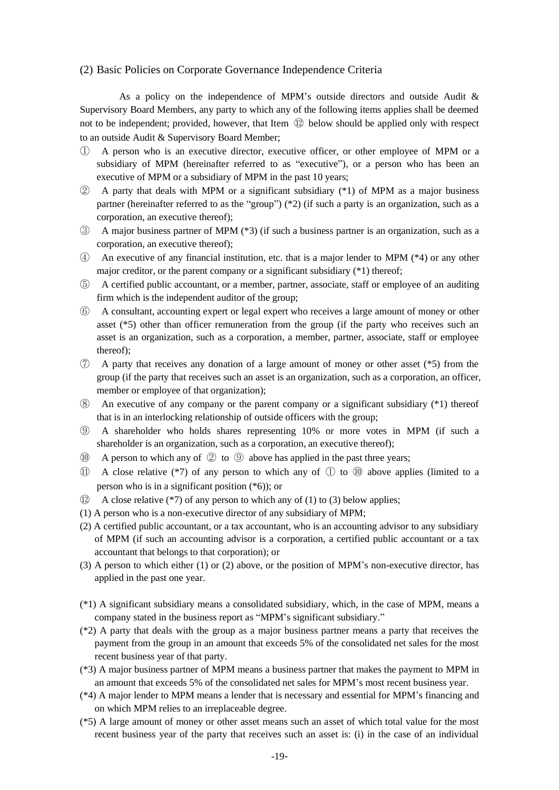# (2) Basic Policies on Corporate Governance Independence Criteria

As a policy on the independence of MPM's outside directors and outside Audit & Supervisory Board Members, any party to which any of the following items applies shall be deemed not to be independent; provided, however, that Item ⑫ below should be applied only with respect to an outside Audit & Supervisory Board Member;

- ① A person who is an executive director, executive officer, or other employee of MPM or a subsidiary of MPM (hereinafter referred to as "executive"), or a person who has been an executive of MPM or a subsidiary of MPM in the past 10 years;
- ② A party that deals with MPM or a significant subsidiary (\*1) of MPM as a major business partner (hereinafter referred to as the "group") (\*2) (if such a party is an organization, such as a corporation, an executive thereof);
- ③ A major business partner of MPM (\*3) (if such a business partner is an organization, such as a corporation, an executive thereof);
- ④ An executive of any financial institution, etc. that is a major lender to MPM (\*4) or any other major creditor, or the parent company or a significant subsidiary (\*1) thereof;
- ⑤ A certified public accountant, or a member, partner, associate, staff or employee of an auditing firm which is the independent auditor of the group;
- ⑥ A consultant, accounting expert or legal expert who receives a large amount of money or other asset (\*5) other than officer remuneration from the group (if the party who receives such an asset is an organization, such as a corporation, a member, partner, associate, staff or employee thereof);
- ⑦ A party that receives any donation of a large amount of money or other asset (\*5) from the group (if the party that receives such an asset is an organization, such as a corporation, an officer, member or employee of that organization);
- ⑧ An executive of any company or the parent company or a significant subsidiary (\*1) thereof that is in an interlocking relationship of outside officers with the group;
- ⑨ A shareholder who holds shares representing 10% or more votes in MPM (if such a shareholder is an organization, such as a corporation, an executive thereof);
- $\omega$  A person to which any of  $\omega$  to  $\omega$  above has applied in the past three years;
- ⑪ A close relative (\*7) of any person to which any of ① to ⑩ above applies (limited to a person who is in a significant position (\*6)); or
- $\Omega$  A close relative (\*7) of any person to which any of (1) to (3) below applies;
- (1) A person who is a non-executive director of any subsidiary of MPM;
- (2) A certified public accountant, or a tax accountant, who is an accounting advisor to any subsidiary of MPM (if such an accounting advisor is a corporation, a certified public accountant or a tax accountant that belongs to that corporation); or
- (3) A person to which either (1) or (2) above, or the position of MPM's non-executive director, has applied in the past one year.
- (\*1) A significant subsidiary means a consolidated subsidiary, which, in the case of MPM, means a company stated in the business report as "MPM's significant subsidiary."
- (\*2) A party that deals with the group as a major business partner means a party that receives the payment from the group in an amount that exceeds 5% of the consolidated net sales for the most recent business year of that party.
- (\*3) A major business partner of MPM means a business partner that makes the payment to MPM in an amount that exceeds 5% of the consolidated net sales for MPM's most recent business year.
- (\*4) A major lender to MPM means a lender that is necessary and essential for MPM's financing and on which MPM relies to an irreplaceable degree.
- (\*5) A large amount of money or other asset means such an asset of which total value for the most recent business year of the party that receives such an asset is: (i) in the case of an individual